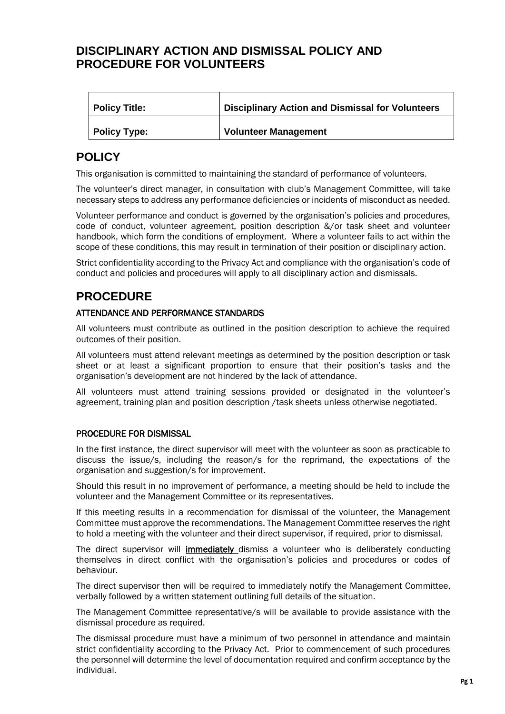### **DISCIPLINARY ACTION AND DISMISSAL POLICY AND PROCEDURE FOR VOLUNTEERS**

| <b>Policy Title:</b> | <b>Disciplinary Action and Dismissal for Volunteers</b> |
|----------------------|---------------------------------------------------------|
| <b>Policy Type:</b>  | <b>Volunteer Management</b>                             |

# **POLICY**

This organisation is committed to maintaining the standard of performance of volunteers.

The volunteer's direct manager, in consultation with club's Management Committee, will take necessary steps to address any performance deficiencies or incidents of misconduct as needed.

Volunteer performance and conduct is governed by the organisation's policies and procedures, code of conduct, volunteer agreement, position description &/or task sheet and volunteer handbook, which form the conditions of employment. Where a volunteer fails to act within the scope of these conditions, this may result in termination of their position or disciplinary action.

Strict confidentiality according to the Privacy Act and compliance with the organisation's code of conduct and policies and procedures will apply to all disciplinary action and dismissals.

# **PROCEDURE**

#### ATTENDANCE AND PERFORMANCE STANDARDS

All volunteers must contribute as outlined in the position description to achieve the required outcomes of their position.

All volunteers must attend relevant meetings as determined by the position description or task sheet or at least a significant proportion to ensure that their position's tasks and the organisation's development are not hindered by the lack of attendance.

All volunteers must attend training sessions provided or designated in the volunteer's agreement, training plan and position description /task sheets unless otherwise negotiated.

#### PROCEDURE FOR DISMISSAL

In the first instance, the direct supervisor will meet with the volunteer as soon as practicable to discuss the issue/s, including the reason/s for the reprimand, the expectations of the organisation and suggestion/s for improvement.

Should this result in no improvement of performance, a meeting should be held to include the volunteer and the Management Committee or its representatives.

If this meeting results in a recommendation for dismissal of the volunteer, the Management Committee must approve the recommendations. The Management Committee reserves the right to hold a meeting with the volunteer and their direct supervisor, if required, prior to dismissal.

The direct supervisor will immediately dismiss a volunteer who is deliberately conducting themselves in direct conflict with the organisation's policies and procedures or codes of behaviour.

The direct supervisor then will be required to immediately notify the Management Committee, verbally followed by a written statement outlining full details of the situation.

The Management Committee representative/s will be available to provide assistance with the dismissal procedure as required.

The dismissal procedure must have a minimum of two personnel in attendance and maintain strict confidentiality according to the Privacy Act. Prior to commencement of such procedures the personnel will determine the level of documentation required and confirm acceptance by the individual.